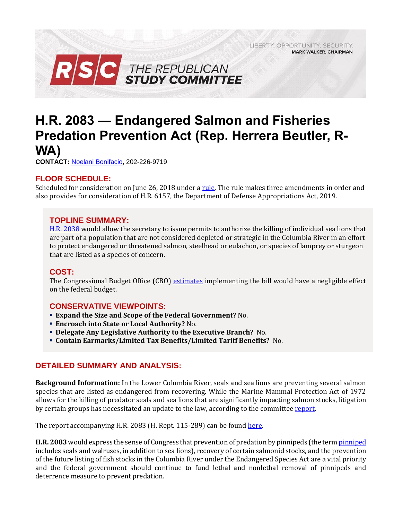LIBERTY. OPPORTUNITY. SECURITY. **MARK WALKER, CHAIRMAN** 



# **H.R. 2083 — Endangered Salmon and Fisheries Predation Prevention Act (Rep. Herrera Beutler, R-WA)**

**CONTACT:** [Noelani Bonifacio,](mailto:Noelani.Bonifacio@mail.house.gov) 202-226-9719

# **FLOOR SCHEDULE:**

Scheduled for consideration on June 26, 2018 under a [rule.](https://rules.house.gov/sites/republicans.rules.house.gov/files/Rule_HR2083HR6157.pdf) The rule makes three amendments in order and also provides for consideration of H.R. 6157, the Department of Defense Appropriations Act, 2019.

#### **TOPLINE SUMMARY:**

[H.R. 2038](https://docs.house.gov/billsthisweek/20180625/BILLS-115HR2083-RCP115-79.pdf) would allow the secretary to issue permits to authorize the killing of individual sea lions that are part of a population that are not considered depleted or strategic in the Columbia River in an effort to protect endangered or threatened salmon, steelhead or eulachon, or species of lamprey or sturgeon that are listed as a species of concern.

#### **COST:**

The Congressional Budget Office (CBO) [estimates](https://www.cbo.gov/system/files/115th-congress-2017-2018/costestimate/hr2083.pdf) implementing the bill would have a negligible effect on the federal budget.

# **CONSERVATIVE VIEWPOINTS:**

- **Expand the Size and Scope of the Federal Government?** No.
- **Encroach into State or Local Authority?** No.
- **Delegate Any Legislative Authority to the Executive Branch?** No.
- **Contain Earmarks/Limited Tax Benefits/Limited Tariff Benefits?** No.

# **DETAILED SUMMARY AND ANALYSIS:**

**Background Information:** In the Lower Columbia River, seals and sea lions are preventing several salmon species that are listed as endangered from recovering. While the Marine Mammal Protection Act of 1972 allows for the killing of predator seals and sea lions that are significantly impacting salmon stocks, litigation by certain groups has necessitated an update to the law, according to the committee report.

The report accompanying H.R. 2083 (H. Rept. 115-289) can be found [here.](https://www.gpo.gov/fdsys/pkg/CRPT-115hrpt289/pdf/CRPT-115hrpt289.pdf)

**H.R. 2083** would express the sense of Congress that prevention of predation by pinnipeds (the ter[m pinniped](http://www.marinemammalcenter.org/education/marine-mammal-information/pinnipeds/) includes seals and walruses, in addition to sea lions), recovery of certain salmonid stocks, and the prevention of the future listing of fish stocks in the Columbia River under the Endangered Species Act are a vital priority and the federal government should continue to fund lethal and nonlethal removal of pinnipeds and deterrence measure to prevent predation.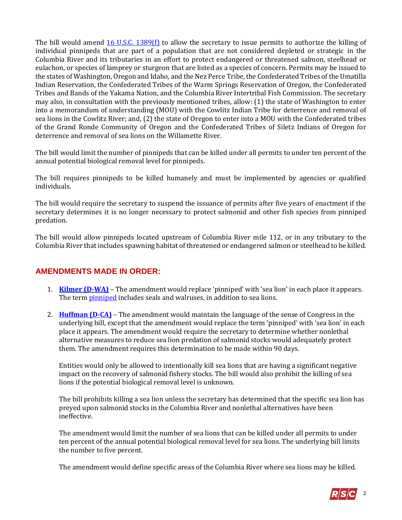The bill would amend  $16$  U.S.C. 1389(f) to allow the secretary to issue permits to authorize the killing of individual pinnipeds that are part of a population that are not considered depleted or strategic in the Columbia River and its tributaries in an effort to protect endangered or threatened salmon, steelhead or eulachon, or species of lamprey or sturgeon that are listed as a species of concern. Permits may be issued to the states of Washington, Oregon and Idaho, and the Nez Perce Tribe, the Confederated Tribes of the Umatilla Indian Reservation, the Confederated Tribes of the Warm Springs Reservation of Oregon, the Confederated Tribes and Bands of the Yakama Nation, and the Columbia River Intertribal Fish Commission. The secretary may also, in consultation with the previously mentioned tribes, allow: (1) the state of Washington to enter into a memorandum of understanding (MOU) with the Cowlitz Indian Tribe for deterrence and removal of sea lions in the Cowlitz River; and, (2) the state of Oregon to enter into a MOU with the Confederated tribes of the Grand Ronde Community of Oregon and the Confederated Tribes of Siletz Indians of Oregon for deterrence and removal of sea lions on the Willamette River.

The bill would limit the number of pinnipeds that can be killed under all permits to under ten percent of the annual potential biological removal level for pinnipeds.

The bill requires pinnipeds to be killed humanely and must be implemented by agencies or qualified individuals.

The bill would require the secretary to suspend the issuance of permits after five years of enactment if the secretary determines it is no longer necessary to protect salmonid and other fish species from pinniped predation.

The bill would allow pinnipeds located upstream of Columbia River mile 112, or in any tributary to the Columbia River that includes spawning habitat of threatened or endangered salmon or steelhead to be killed.

# **AMENDMENTS MADE IN ORDER:**

- 1. **[Kilmer \(D-WA\)](https://amendments-rules.house.gov/amendments/KILMWA_087_xml%20(002)62518091602162.pdf)** The amendment would replace 'pinniped' with 'sea lion' in each place it appears. The term **pinniped** includes seals and walruses, in addition to sea lions.
- 2. **[Huffman \(D-CA\)](https://amendments-rules.house.gov/amendments/jh162518142106216.pdf)** The amendment would maintain the language of the sense of Congress in the underlying bill, except that the amendment would replace the term 'pinniped' with 'sea lion' in each place it appears. The amendment would require the secretary to determine whether nonlethal alternative measures to reduce sea lion predation of salmonid stocks would adequately protect them. The amendment requires this determination to be made within 90 days.

Entities would only be allowed to intentionally kill sea lions that are having a significant negative impact on the recovery of salmonid fishery stocks. The bill would also prohibit the killing of sea lions if the potential biological removal level is unknown.

The bill prohibits killing a sea lion unless the secretary has determined that the specific sea lion has preyed upon salmonid stocks in the Columbia River and nonlethal alternatives have been ineffective.

The amendment would limit the number of sea lions that can be killed under all permits to under ten percent of the annual potential biological removal level for sea lions. The underlying bill limits the number to five percent.

The amendment would define specific areas of the Columbia River where sea lions may be killed.